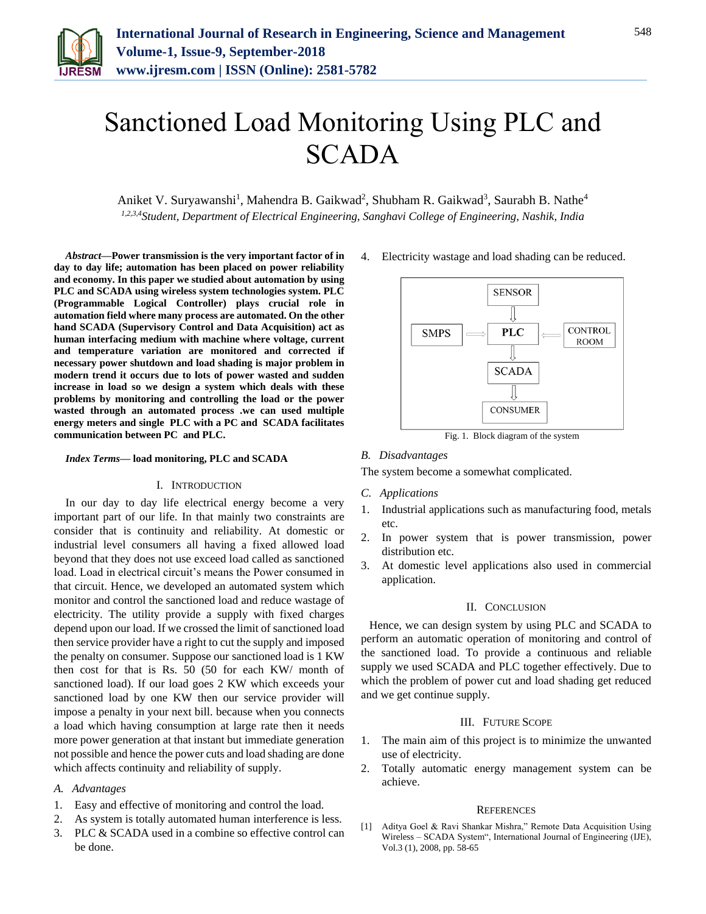

# Sanctioned Load Monitoring Using PLC and **SCADA**

Aniket V. Suryawanshi<sup>1</sup>, Mahendra B. Gaikwad<sup>2</sup>, Shubham R. Gaikwad<sup>3</sup>, Saurabh B. Nathe<sup>4</sup> *1,2,3,4Student, Department of Electrical Engineering, Sanghavi College of Engineering, Nashik, India*

*Abstract***—Power transmission is the very important factor of in day to day life; automation has been placed on power reliability and economy. In this paper we studied about automation by using PLC and SCADA using wireless system technologies system. PLC (Programmable Logical Controller) plays crucial role in automation field where many process are automated. On the other hand SCADA (Supervisory Control and Data Acquisition) act as human interfacing medium with machine where voltage, current and temperature variation are monitored and corrected if necessary power shutdown and load shading is major problem in modern trend it occurs due to lots of power wasted and sudden increase in load so we design a system which deals with these problems by monitoring and controlling the load or the power wasted through an automated process .we can used multiple energy meters and single PLC with a PC and SCADA facilitates communication between PC and PLC.**

*Index Terms***— load monitoring, PLC and SCADA**

#### I. INTRODUCTION

In our day to day life electrical energy become a very important part of our life. In that mainly two constraints are consider that is continuity and reliability. At domestic or industrial level consumers all having a fixed allowed load beyond that they does not use exceed load called as sanctioned load. Load in electrical circuit's means the Power consumed in that circuit. Hence, we developed an automated system which monitor and control the sanctioned load and reduce wastage of electricity. The utility provide a supply with fixed charges depend upon our load. If we crossed the limit of sanctioned load then service provider have a right to cut the supply and imposed the penalty on consumer. Suppose our sanctioned load is 1 KW then cost for that is Rs. 50 (50 for each KW/ month of sanctioned load). If our load goes 2 KW which exceeds your sanctioned load by one KW then our service provider will impose a penalty in your next bill. because when you connects a load which having consumption at large rate then it needs more power generation at that instant but immediate generation not possible and hence the power cuts and load shading are done which affects continuity and reliability of supply.

### *A. Advantages*

- 1. Easy and effective of monitoring and control the load.
- 2. As system is totally automated human interference is less.
- 3. PLC & SCADA used in a combine so effective control can be done.

4. Electricity wastage and load shading can be reduced.



Fig. 1. Block diagram of the system

*B. Disadvantages*

The system become a somewhat complicated.

- *C. Applications*
- 1. Industrial applications such as manufacturing food, metals etc.
- 2. In power system that is power transmission, power distribution etc.
- 3. At domestic level applications also used in commercial application.

#### II. CONCLUSION

Hence, we can design system by using PLC and SCADA to perform an automatic operation of monitoring and control of the sanctioned load. To provide a continuous and reliable supply we used SCADA and PLC together effectively. Due to which the problem of power cut and load shading get reduced and we get continue supply.

## III. FUTURE SCOPE

- 1. The main aim of this project is to minimize the unwanted use of electricity.
- 2. Totally automatic energy management system can be achieve.

#### **REFERENCES**

[1] Aditya Goel & Ravi Shankar Mishra," Remote Data Acquisition Using Wireless – SCADA System", International Journal of Engineering (IJE), Vol.3 (1), 2008, pp. 58-65